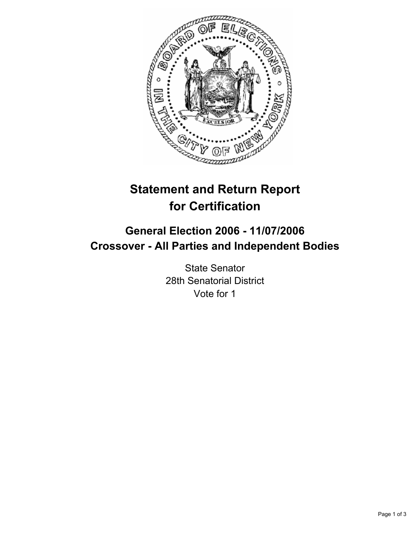

# **Statement and Return Report for Certification**

## **General Election 2006 - 11/07/2006 Crossover - All Parties and Independent Bodies**

State Senator 28th Senatorial District Vote for 1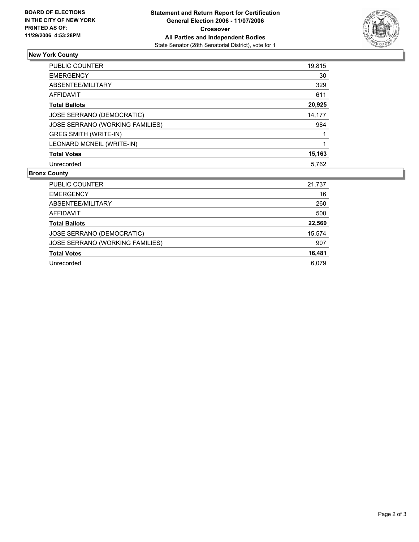

## **New York County**

| PUBLIC COUNTER                  | 19,815 |
|---------------------------------|--------|
| <b>EMERGENCY</b>                | 30     |
| ABSENTEE/MILITARY               | 329    |
| AFFIDAVIT                       | 611    |
| <b>Total Ballots</b>            | 20,925 |
| JOSE SERRANO (DEMOCRATIC)       | 14,177 |
| JOSE SERRANO (WORKING FAMILIES) | 984    |
| <b>GREG SMITH (WRITE-IN)</b>    |        |
| LEONARD MCNEIL (WRITE-IN)       |        |
| <b>Total Votes</b>              | 15,163 |
| Unrecorded                      | 5.762  |

### **Bronx County**

| PUBLIC COUNTER                  | 21,737 |
|---------------------------------|--------|
| <b>EMERGENCY</b>                | 16     |
| ABSENTEE/MILITARY               | 260    |
| AFFIDAVIT                       | 500    |
| <b>Total Ballots</b>            | 22,560 |
| JOSE SERRANO (DEMOCRATIC)       | 15,574 |
| JOSE SERRANO (WORKING FAMILIES) | 907    |
| <b>Total Votes</b>              | 16,481 |
| Unrecorded                      | 6.079  |